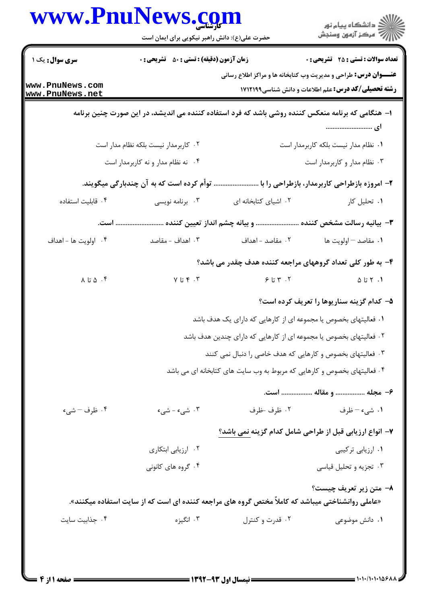|                                      | حضرت علی(ع): دانش راهبر نیکویی برای ایمان است                            |                                                                                                   | ≦ دانشڪاه پيام نور<br>7 مرڪز آزمون وسنڊش                                                                                             |  |
|--------------------------------------|--------------------------------------------------------------------------|---------------------------------------------------------------------------------------------------|--------------------------------------------------------------------------------------------------------------------------------------|--|
| <b>سری سوال:</b> یک ۱                | <b>زمان آزمون (دقیقه) : تستی : 50 ٪ تشریحی : 0</b>                       |                                                                                                   | <b>تعداد سوالات : تستی : 25 - تشریحی : 0</b>                                                                                         |  |
| www.PnuNews.com<br>www.PnuNews.net   |                                                                          |                                                                                                   | <b>عنـــوان درس:</b> طراحي و مديريت وب كتابخانه ها و مراكز اطلاع رساني<br><b>رشته تحصیلی/کد درس:</b> علم اطلاعات و دانش شناسی1۷۱۲۱۹۹ |  |
|                                      |                                                                          | ا– هنگامی که برنامه منعکس کننده روشی باشد که فرد استفاده کننده می اندیشد، در این صورت چنین برنامه | ای                                                                                                                                   |  |
| ۰۲ کاربرمدار نیست بلکه نظام مدار است |                                                                          | ٠١ نظام مدار نيست بلكه كاربرمدار است                                                              |                                                                                                                                      |  |
| ۰۴ نه نظام مدار و نه کاربرمدار است   |                                                                          |                                                                                                   | ۰۳ نظام مدار و کاربرمدار است                                                                                                         |  |
|                                      | ِ توأم کرده است که به آن چندبارگی میگویند.                               |                                                                                                   | ۲– امروزه بازطراحی کاربرمدار، بازطراحی را با                                                                                         |  |
| ۰۴ قابليت استفاده                    | ۰۳ برنامه نویسی                                                          | ۰۲ اشیای کتابخانه ای                                                                              | ۰۱ تحلیل کار                                                                                                                         |  |
|                                      |                                                                          | ٣- بيانيه رسالت مشخص كننده  و بيانه چشم انداز تعيين كننده  است.                                   |                                                                                                                                      |  |
| ۰۴ اولويت ها - اهداف                 | ۰۳ اهداف - مقاصد                                                         | ٢. مقاصد - اهداف                                                                                  | ٠١. مقاصد – اولويت ها                                                                                                                |  |
|                                      |                                                                          | ۴- به طور کلی تعداد گروههای مراجعه کننده هدف چقدر می باشد؟                                        |                                                                                                                                      |  |
| $\lambda$ تا $\Delta$                | ۰۲ تا ۷                                                                  | $95.7$ تا $9$                                                                                     | $\Delta$ 1 $\gamma$ 7 تا $\Delta$                                                                                                    |  |
|                                      |                                                                          |                                                                                                   | ۵– کدام گزینه سناریوها را تعریف کرده است؟                                                                                            |  |
|                                      | ۰۱ فعالیتهای بخصوص یا مجموعه ای از کارهایی که دارای یک هدف باشد          |                                                                                                   |                                                                                                                                      |  |
|                                      | ۰۲ فعالیتهای بخصوص یا مجموعه ای از کارهایی که دارای چندین هدف باشد       |                                                                                                   |                                                                                                                                      |  |
|                                      | ۰۳ فعالیتهای بخصوص و کارهایی که هدف خاصی را دنبال نمی کنند               |                                                                                                   |                                                                                                                                      |  |
|                                      | ۰۴ فعالیتهای بخصوص و کارهایی که مربوط به وب سایت های کتابخانه ای می باشد |                                                                                                   |                                                                                                                                      |  |
|                                      |                                                                          |                                                                                                   | ۶- مجله  و مقاله  است.                                                                                                               |  |
| ۰۴ ظرف – شيء                         | ۰۳ شی، - شی،                                                             | ۰۲ ظرف خلرف                                                                                       | ۰۱ شيء – ظرف                                                                                                                         |  |
|                                      | ۷- انواع ارزیابی قبل از طراحی شامل کدام گزینه نمی باشد؟                  |                                                                                                   |                                                                                                                                      |  |
|                                      | ۰۲ ارزیابی ابتکاری                                                       |                                                                                                   | ۰۱ ارزیابی ترکیبی                                                                                                                    |  |
|                                      | ۰۴ گروه های کانونی                                                       |                                                                                                   | ۰۳ تجزیه و تحلیل قیاسی                                                                                                               |  |
|                                      |                                                                          | «عاملی روانشناختی میباشد که کاملاً مختص گروه های مراجعه کننده ای است که از سایت استفاده میکنند».  | ۸– متن زیر تعریف چیست؟                                                                                                               |  |
| ۰۴ جذابيت سايت                       | ۰۳ انگیزه                                                                | ۰۲ قدرت و کنترل                                                                                   | ۰۱ دانش موضوعی                                                                                                                       |  |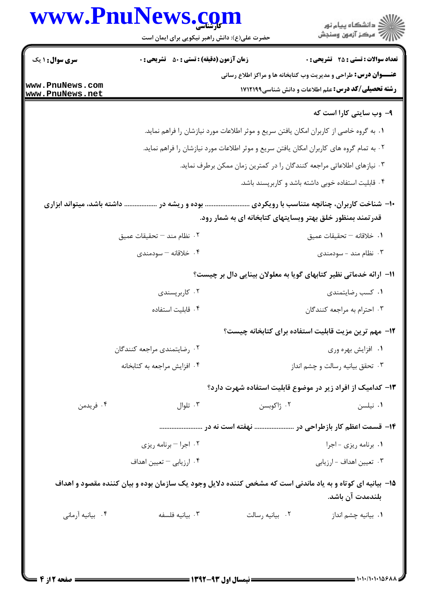|                                    | www.PnuNews.com<br>حضرت علی(ع): دانش راهبر نیکویی برای ایمان است                                           |                                                             | ڪ دانشڪاه پيام نور<br>/> مرڪز آزمون وسنڊش                                |  |  |
|------------------------------------|------------------------------------------------------------------------------------------------------------|-------------------------------------------------------------|--------------------------------------------------------------------------|--|--|
| <b>سری سوال : ۱ یک</b>             | <b>زمان آزمون (دقیقه) : تستی : 50 ٪ تشریحی : 0</b>                                                         |                                                             | <b>تعداد سوالات : تستی : 25 - تشریحی : 0</b>                             |  |  |
|                                    |                                                                                                            |                                                             | <b>عنـــوان درس:</b> طراحی و مدیریت وب کتابخانه ها و مراکز اطلاع رسانی   |  |  |
| www.PnuNews.com<br>www.PnuNews.net |                                                                                                            |                                                             | <b>رشته تحصیلی/کد درس:</b> علم اطلاعات و دانش شناسی1۷۱۲۱۹۹               |  |  |
|                                    |                                                                                                            |                                                             | ۹- وب سایتی کارا است که                                                  |  |  |
|                                    | ۰۱ به گروه خاصی از کاربران امکان یافتن سریع و موثر اطلاعات مورد نیازشان را فراهم نماید.                    |                                                             |                                                                          |  |  |
|                                    | ۲ . به تمام گروه های کاربران امکان یافتن سریع و موثر اطلاعات مورد نیازشان را فراهم نماید.                  |                                                             |                                                                          |  |  |
|                                    | ۰۳ نیازهای اطلاعاتی مراجعه کنندگان را در کمترین زمان ممکن برطرف نماید.                                     |                                                             |                                                                          |  |  |
|                                    |                                                                                                            |                                                             | ۰۴ قابلیت استفاده خوبی داشته باشد و کاربرپسند باشد.                      |  |  |
| داشته باشد، میتواند ابزاری         | بوده و ریشه در                                                                                             | قدر تمند بمنظور خلق بهتر وبسایتهای کتابخانه ای به شمار رود. | ۱۰- شناخت کاربران، چنانچه متناسب با رویکردی                              |  |  |
|                                    | ٢. نظام مند – تحقيقات عميق                                                                                 |                                                             | ٠١ خلاقانه - تحقيقات عميق                                                |  |  |
|                                    | ۰۴ خلاقانه – سودمندی                                                                                       |                                                             | ۰۳ نظام مند - سودمندی                                                    |  |  |
|                                    |                                                                                                            |                                                             | <b>۱۱- ارائه خدماتی نظیر کتابهای گویا به معلولان بینایی دال بر چیست؟</b> |  |  |
|                                    | ۰۲ کاربرپسندی                                                                                              |                                                             | ۰۱ کسب رضایتمندی                                                         |  |  |
|                                    | ۰۴ قابلیت استفاده                                                                                          |                                                             | ۰۳ احترام به مراجعه کنندگان                                              |  |  |
|                                    |                                                                                                            |                                                             | ۱۲– مهم ترین مزیت قابلیت استفاده برای کتابخانه چیست؟                     |  |  |
|                                    | ٠٢ رضايتمندي مراجعه كنندگان                                                                                |                                                             | ۰۱ افزایش بهره وری                                                       |  |  |
|                                    | ۰۴ افزایش مراجعه به کتابخانه                                                                               |                                                             | ۰۳ تحقق بیانیه رسالت و چشم انداز                                         |  |  |
|                                    |                                                                                                            |                                                             | ۱۳– کدامیک از افراد زیر در موضوع قابلیت استفاده شهرت دارد؟               |  |  |
| ۰۴ فريدمن                          | $\cdot$ تلوال                                                                                              | ۰۲ ژاکوبسن                                                  | ۰۱ نیلسن                                                                 |  |  |
|                                    |                                                                                                            |                                                             | ۱۴– قسمت اعظم کار بازطراحی در  نهفته است نه در                           |  |  |
|                                    | ۰۲ اجرا – برنامه ريزي                                                                                      |                                                             | ٠١ برنامه ريزي - اجرا                                                    |  |  |
|                                    | ۰۴ ارزیابی – تعیین اهداف                                                                                   |                                                             | ۰۳ تعیین اهداف - ارزیابی                                                 |  |  |
|                                    | ۱۵– بیانیه ای کوتاه و به یاد ماندنی است که مشخص کننده دلایل وجود یک سازمان بوده و بیان کننده مقصود و اهداف |                                                             | بلندمدت آن باشد.                                                         |  |  |
| ۰۴ بیانیه آرمانی                   | ۰۳ بیانیه فلسفه                                                                                            | ٠٢ بيانيه رسالت                                             | ۰۱ بیانیه چشم انداز                                                      |  |  |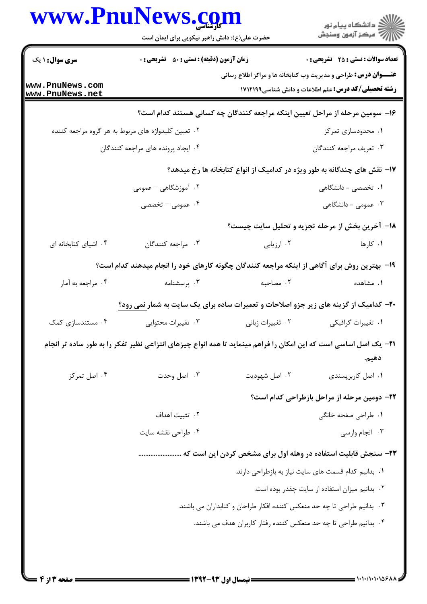|                                    | www.PnuNews.com<br>حضرت علی(ع): دانش راهبر نیکویی برای ایمان است                                                         |                                                                         | ڪ دانشڪاه پيام نور<br>ر∕⊂ مرڪز آزمون وسنڊش                                                                                           |
|------------------------------------|--------------------------------------------------------------------------------------------------------------------------|-------------------------------------------------------------------------|--------------------------------------------------------------------------------------------------------------------------------------|
| <b>سری سوال : ۱ یک</b>             | زمان آزمون (دقیقه) : تستی : ۵۰٪ تشریحی : ۰                                                                               |                                                                         | <b>تعداد سوالات : تستی : 25 ۔ تشریحی : 0</b>                                                                                         |
| www.PnuNews.com<br>www.PnuNews.net |                                                                                                                          |                                                                         | <b>عنـــوان درس:</b> طراحی و مدیریت وب کتابخانه ها و مراکز اطلاع رسانی<br><b>رشته تحصیلی/کد درس:</b> علم اطلاعات و دانش شناسی1۷۱۲۱۹۹ |
|                                    |                                                                                                                          |                                                                         | ۱۶– سومین مرحله از مراحل تعیین اینکه مراجعه کنندگان چه کسانی هستند کدام است؟                                                         |
|                                    | ۰۲ تعیین کلیدواژه های مربوط به هر گروه مراجعه کننده                                                                      |                                                                         | ۰۱ محدودسازی تمرکز                                                                                                                   |
|                                    | ۰۴ ایجاد پرونده های مراجعه کنندگان                                                                                       |                                                                         | ۰۳ تعریف مراجعه کنندگان                                                                                                              |
|                                    |                                                                                                                          |                                                                         | ۱۷- نقش های چندگانه به طور ویژه در کدامیک از انواع کتابخانه ها رخ میدهد؟                                                             |
|                                    | ۰۲ آموزشگاهی – عمومی                                                                                                     |                                                                         | <b>۱.</b> تخصصی - دانشگاهی                                                                                                           |
|                                    | ۰۴ عمومی – تخصصی                                                                                                         |                                                                         | ۰۳ عمومی - دانشگاهی                                                                                                                  |
|                                    |                                                                                                                          |                                                                         | ۱۸− آخرین بخش از مرحله تجزیه و تحلیل سایت چیست؟                                                                                      |
| ۰۴ اشیای کتابخانه ای               | ۰۳ مراجعه کنندگان                                                                                                        | ۰۲ ارزیابی                                                              | ۰۱ کارها                                                                                                                             |
|                                    | ۱۹- بهترین روش برای آگاهی از اینکه مراجعه کنندگان چگونه کارهای خود را انجام میدهند کدام است؟                             |                                                                         |                                                                                                                                      |
| ۰۴ مراجعه به آمار                  | ۰۳ پرسشنامه                                                                                                              | ۰۲ مصاحبه                                                               | ۰۱ مشاهده                                                                                                                            |
|                                    | <b>۲۰</b> - کدامیک از گزینه های زیر جزو اصلاحات و تعمیرات ساده برای یک سایت به شمار نمی رود؟                             |                                                                         |                                                                                                                                      |
| ۰۴ مستندسازی کمک                   | ۰۳ تغییرات محتوایی                                                                                                       | ۰۲ تغییرات زبانی                                                        | ٠١ تغييرات گرافيكي                                                                                                                   |
|                                    | <b>۲۱</b> – یک اصل اساسی است که این امکان را فراهم مینماید تا همه انواع چیزهای انتزاعی نظیر تفکر را به طور ساده تر انجام |                                                                         | دهيم.                                                                                                                                |
| ۰۴ اصل تمرکز                       | ۰۳ اصل وحدت                                                                                                              | ۰۲ اصل شهوديت                                                           | ۰۱ اصل کاربرپسندی                                                                                                                    |
|                                    | ۲۲– دومین مرحله از مراحل بازطراحی کدام است؟                                                                              |                                                                         |                                                                                                                                      |
|                                    | ٠٢ تثبيت اهداف                                                                                                           |                                                                         | ۰۱ طراحی صفحه خانگی                                                                                                                  |
|                                    | ۰۴ طراحی نقشه سایت                                                                                                       |                                                                         | ۰۳ انجام وارسی                                                                                                                       |
|                                    |                                                                                                                          |                                                                         |                                                                                                                                      |
|                                    | ٠١. بدانيم كدام قسمت هاى سايت نياز به بازطراحى دارند.                                                                    |                                                                         |                                                                                                                                      |
|                                    | ٠٢ بدانيم ميزان استفاده از سايت چقدر بوده است.                                                                           |                                                                         |                                                                                                                                      |
|                                    |                                                                                                                          | ۰۳ بدانیم طراحی تا چه حد منعکس کننده افکار طراحان و کتابداران می باشند. |                                                                                                                                      |
|                                    | ۰۴ بدانیم طراحی تا چه حد منعکس کننده رفتار کاربران هدف می باشند.                                                         |                                                                         |                                                                                                                                      |